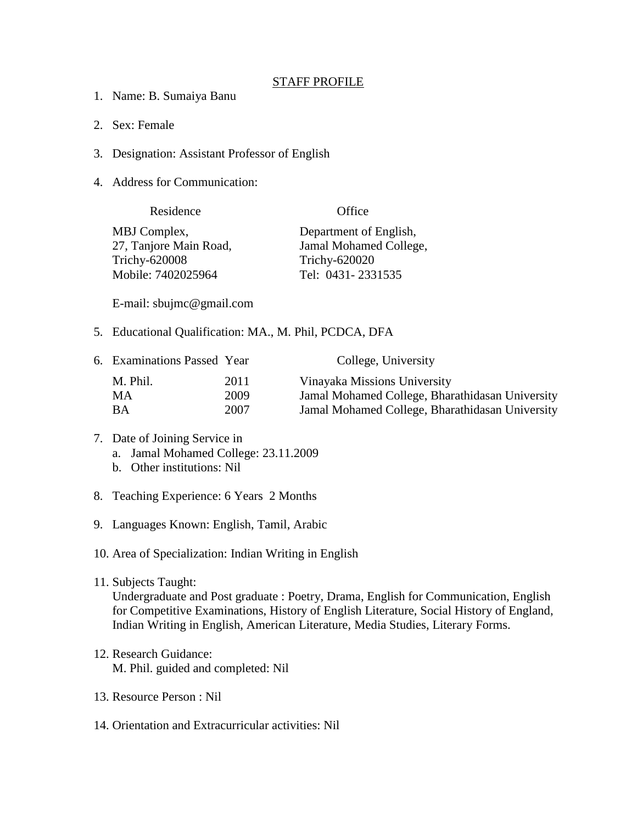## STAFF PROFILE

- 1. Name: B. Sumaiya Banu
- 2. Sex: Female
- 3. Designation: Assistant Professor of English
- 4. Address for Communication:

| Residence              | Office                 |
|------------------------|------------------------|
| MBJ Complex,           | Department of English, |
| 27, Tanjore Main Road, | Jamal Mohamed College, |
| <b>Trichy-620008</b>   | Trichy-620020          |
| Mobile: 7402025964     | Tel: 0431-2331535      |

E-mail: sbujmc@gmail.com

5. Educational Qualification: MA., M. Phil, PCDCA, DFA

| 6. Examinations Passed Year |      | College, University                             |
|-----------------------------|------|-------------------------------------------------|
| M. Phil.                    | 2011 | Vinayaka Missions University                    |
| MA.                         | 2009 | Jamal Mohamed College, Bharathidasan University |
| ВA                          | 2007 | Jamal Mohamed College, Bharathidasan University |

## 7. Date of Joining Service in a. Jamal Mohamed College: 23.11.2009

- b. Other institutions: Nil
- 8. Teaching Experience: 6 Years 2 Months
- 9. Languages Known: English, Tamil, Arabic

10. Area of Specialization: Indian Writing in English

11. Subjects Taught:

Undergraduate and Post graduate : Poetry, Drama, English for Communication, English for Competitive Examinations, History of English Literature, Social History of England, Indian Writing in English, American Literature, Media Studies, Literary Forms.

- 12. Research Guidance: M. Phil. guided and completed: Nil
- 13. Resource Person : Nil
- 14. Orientation and Extracurricular activities: Nil